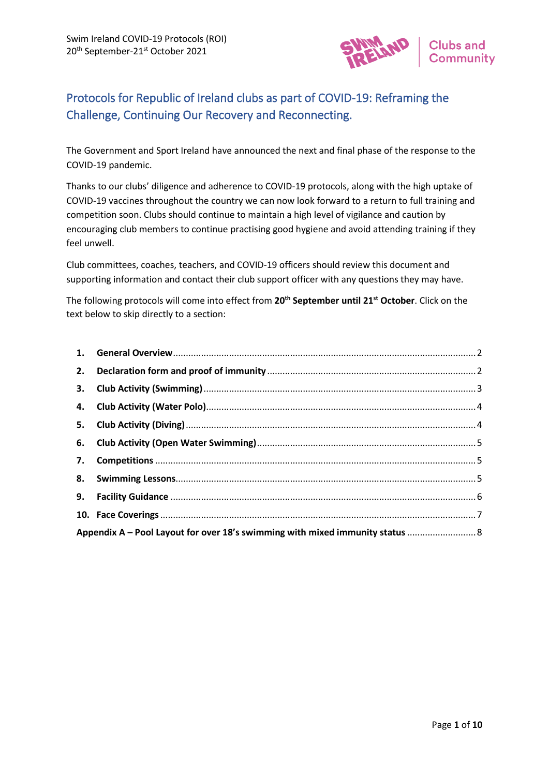

# Protocols for Republic of Ireland clubs as part of COVID-19: Reframing the Challenge, Continuing Our Recovery and Reconnecting.

The Government and Sport Ireland have announced the next and final phase of the response to the COVID-19 pandemic.

Thanks to our clubs' diligence and adherence to COVID-19 protocols, along with the high uptake of COVID-19 vaccines throughout the country we can now look forward to a return to full training and competition soon. Clubs should continue to maintain a high level of vigilance and caution by encouraging club members to continue practising good hygiene and avoid attending training if they feel unwell.

Club committees, coaches, teachers, and COVID-19 officers should review this document and supporting information and contact their club support officer with any questions they may have.

The following protocols will come into effect from **20th September until 21st October**. Click on the text below to skip directly to a section:

| Appendix A - Pool Layout for over 18's swimming with mixed immunity status  8 |  |  |
|-------------------------------------------------------------------------------|--|--|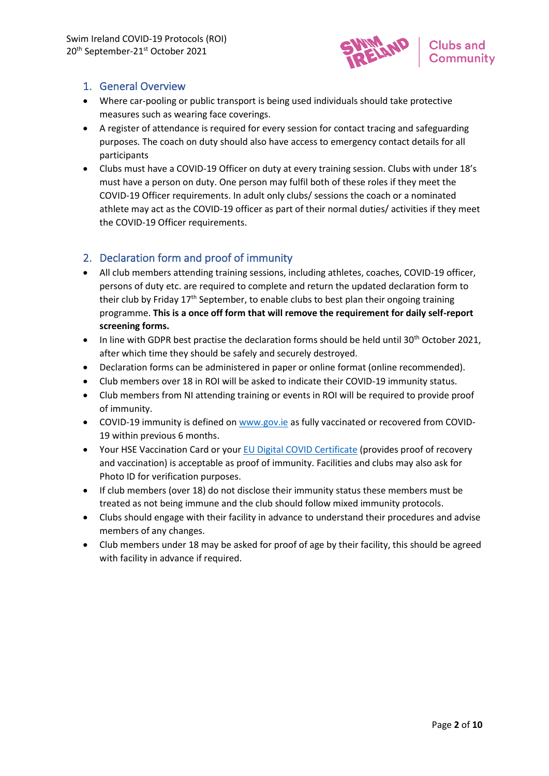

### <span id="page-1-0"></span>1. General Overview

- Where car-pooling or public transport is being used individuals should take protective measures such as wearing face coverings.
- A register of attendance is required for every session for contact tracing and safeguarding purposes. The coach on duty should also have access to emergency contact details for all participants
- Clubs must have a COVID-19 Officer on duty at every training session. Clubs with under 18's must have a person on duty. One person may fulfil both of these roles if they meet the COVID-19 Officer requirements. In adult only clubs/ sessions the coach or a nominated athlete may act as the COVID-19 officer as part of their normal duties/ activities if they meet the COVID-19 Officer requirements.

### <span id="page-1-1"></span>2. Declaration form and proof of immunity

- All club members attending training sessions, including athletes, coaches, COVID-19 officer, persons of duty etc. are required to complete and return the updated declaration form to their club by Friday  $17<sup>th</sup>$  September, to enable clubs to best plan their ongoing training programme. **This is a once off form that will remove the requirement for daily self-report screening forms.**
- In line with GDPR best practise the declaration forms should be held until 30<sup>th</sup> October 2021, after which time they should be safely and securely destroyed.
- Declaration forms can be administered in paper or online format (online recommended).
- Club members over 18 in ROI will be asked to indicate their COVID-19 immunity status.
- Club members from NI attending training or events in ROI will be required to provide proof of immunity.
- COVID-19 immunity is defined on [www.gov.ie](http://www.gov.ie/) as fully vaccinated or recovered from COVID-19 within previous 6 months.
- Your HSE Vaccination Card or your [EU Digital COVID Certificate](https://www.gov.ie/en/publication/3a698-eu-digital-covid-certificate/) (provides proof of recovery and vaccination) is acceptable as proof of immunity. Facilities and clubs may also ask for Photo ID for verification purposes.
- If club members (over 18) do not disclose their immunity status these members must be treated as not being immune and the club should follow mixed immunity protocols.
- Clubs should engage with their facility in advance to understand their procedures and advise members of any changes.
- Club members under 18 may be asked for proof of age by their facility, this should be agreed with facility in advance if required.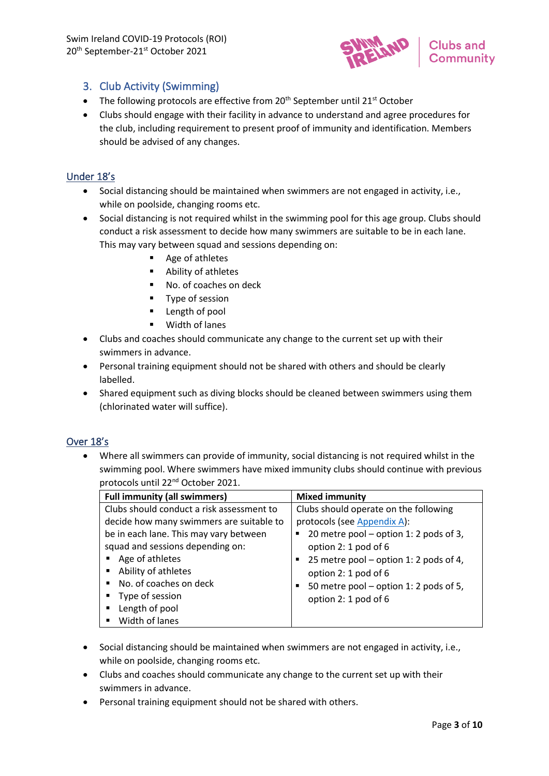

# <span id="page-2-0"></span>3. Club Activity (Swimming)

- The following protocols are effective from  $20<sup>th</sup>$  September until  $21<sup>st</sup>$  October
- Clubs should engage with their facility in advance to understand and agree procedures for the club, including requirement to present proof of immunity and identification. Members should be advised of any changes.

### Under 18's

- Social distancing should be maintained when swimmers are not engaged in activity, i.e., while on poolside, changing rooms etc.
- Social distancing is not required whilst in the swimming pool for this age group. Clubs should conduct a risk assessment to decide how many swimmers are suitable to be in each lane. This may vary between squad and sessions depending on:
	- Age of athletes
	- Ability of athletes
	- No. of coaches on deck
	- Type of session
	- Length of pool
	- Width of lanes
- Clubs and coaches should communicate any change to the current set up with their swimmers in advance.
- Personal training equipment should not be shared with others and should be clearly labelled.
- Shared equipment such as diving blocks should be cleaned between swimmers using them (chlorinated water will suffice).

### Over 18's

• Where all swimmers can provide of immunity, social distancing is not required whilst in the swimming pool. Where swimmers have mixed immunity clubs should continue with previous protocols until 22nd October 2021.

| <b>Full immunity (all swimmers)</b>                                                                                                                                                                                                                        | <b>Mixed immunity</b>                                                                                                                                                                                                                                                           |
|------------------------------------------------------------------------------------------------------------------------------------------------------------------------------------------------------------------------------------------------------------|---------------------------------------------------------------------------------------------------------------------------------------------------------------------------------------------------------------------------------------------------------------------------------|
| Clubs should conduct a risk assessment to<br>decide how many swimmers are suitable to<br>be in each lane. This may vary between<br>squad and sessions depending on:<br>Age of athletes<br>Ability of athletes<br>No. of coaches on deck<br>Type of session | Clubs should operate on the following<br>protocols (see Appendix A):<br>20 metre pool – option 1: 2 pods of 3,<br>option 2: 1 pod of 6<br>25 metre pool – option 1: 2 pods of 4,<br>option 2: 1 pod of 6<br>50 metre pool – option 1: 2 pods of 5,<br>п<br>option 2: 1 pod of 6 |
| Length of pool<br>Width of lanes                                                                                                                                                                                                                           |                                                                                                                                                                                                                                                                                 |

- Social distancing should be maintained when swimmers are not engaged in activity, i.e., while on poolside, changing rooms etc.
- Clubs and coaches should communicate any change to the current set up with their swimmers in advance.
- Personal training equipment should not be shared with others.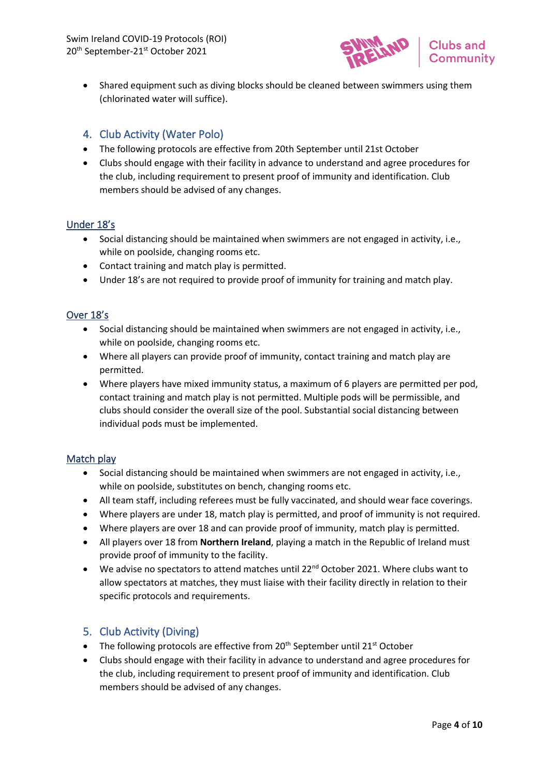

Shared equipment such as diving blocks should be cleaned between swimmers using them (chlorinated water will suffice).

## <span id="page-3-0"></span>4. Club Activity (Water Polo)

- The following protocols are effective from 20th September until 21st October
- Clubs should engage with their facility in advance to understand and agree procedures for the club, including requirement to present proof of immunity and identification. Club members should be advised of any changes.

### Under 18's

- Social distancing should be maintained when swimmers are not engaged in activity, i.e., while on poolside, changing rooms etc.
- Contact training and match play is permitted.
- Under 18's are not required to provide proof of immunity for training and match play.

### Over 18's

- Social distancing should be maintained when swimmers are not engaged in activity, i.e., while on poolside, changing rooms etc.
- Where all players can provide proof of immunity, contact training and match play are permitted.
- Where players have mixed immunity status, a maximum of 6 players are permitted per pod, contact training and match play is not permitted. Multiple pods will be permissible, and clubs should consider the overall size of the pool. Substantial social distancing between individual pods must be implemented.

#### Match play

- Social distancing should be maintained when swimmers are not engaged in activity, i.e., while on poolside, substitutes on bench, changing rooms etc.
- All team staff, including referees must be fully vaccinated, and should wear face coverings.
- Where players are under 18, match play is permitted, and proof of immunity is not required.
- Where players are over 18 and can provide proof of immunity, match play is permitted.
- All players over 18 from **Northern Ireland**, playing a match in the Republic of Ireland must provide proof of immunity to the facility.
- We advise no spectators to attend matches until 22<sup>nd</sup> October 2021. Where clubs want to allow spectators at matches, they must liaise with their facility directly in relation to their specific protocols and requirements.

### <span id="page-3-1"></span>5. Club Activity (Diving)

- The following protocols are effective from  $20<sup>th</sup>$  September until  $21<sup>st</sup>$  October
- Clubs should engage with their facility in advance to understand and agree procedures for the club, including requirement to present proof of immunity and identification. Club members should be advised of any changes.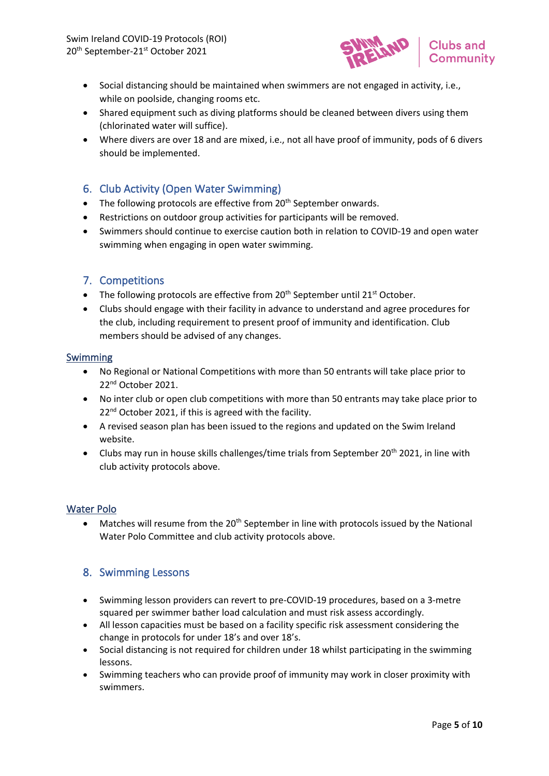

- Social distancing should be maintained when swimmers are not engaged in activity, i.e., while on poolside, changing rooms etc.
- Shared equipment such as diving platforms should be cleaned between divers using them (chlorinated water will suffice).
- Where divers are over 18 and are mixed, i.e., not all have proof of immunity, pods of 6 divers should be implemented.

### <span id="page-4-0"></span>6. Club Activity (Open Water Swimming)

- The following protocols are effective from  $20<sup>th</sup>$  September onwards.
- Restrictions on outdoor group activities for participants will be removed.
- Swimmers should continue to exercise caution both in relation to COVID-19 and open water swimming when engaging in open water swimming.

#### <span id="page-4-1"></span>7. Competitions

- The following protocols are effective from  $20<sup>th</sup>$  September until  $21<sup>st</sup>$  October.
- Clubs should engage with their facility in advance to understand and agree procedures for the club, including requirement to present proof of immunity and identification. Club members should be advised of any changes.

#### **Swimming**

- No Regional or National Competitions with more than 50 entrants will take place prior to 22<sup>nd</sup> October 2021.
- No inter club or open club competitions with more than 50 entrants may take place prior to 22<sup>nd</sup> October 2021, if this is agreed with the facility.
- A revised season plan has been issued to the regions and updated on the Swim Ireland website.
- Clubs may run in house skills challenges/time trials from September 20<sup>th</sup> 2021, in line with club activity protocols above.

#### Water Polo

• Matches will resume from the  $20<sup>th</sup>$  September in line with protocols issued by the National Water Polo Committee and club activity protocols above.

### <span id="page-4-2"></span>8. Swimming Lessons

- Swimming lesson providers can revert to pre-COVID-19 procedures, based on a 3-metre squared per swimmer bather load calculation and must risk assess accordingly.
- All lesson capacities must be based on a facility specific risk assessment considering the change in protocols for under 18's and over 18's.
- Social distancing is not required for children under 18 whilst participating in the swimming lessons.
- Swimming teachers who can provide proof of immunity may work in closer proximity with swimmers.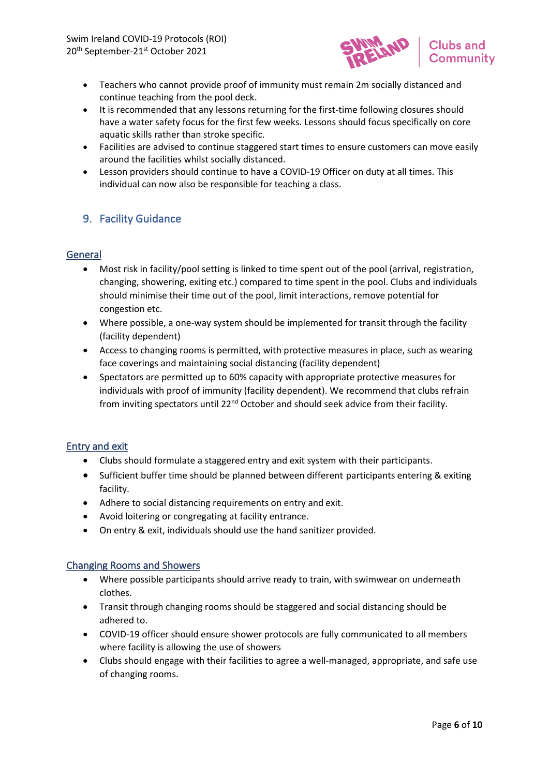

- Teachers who cannot provide proof of immunity must remain 2m socially distanced and continue teaching from the pool deck.
- It is recommended that any lessons returning for the first-time following closures should have a water safety focus for the first few weeks. Lessons should focus specifically on core aquatic skills rather than stroke specific.
- Facilities are advised to continue staggered start times to ensure customers can move easily around the facilities whilst socially distanced.
- Lesson providers should continue to have a COVID-19 Officer on duty at all times. This individual can now also be responsible for teaching a class.

### <span id="page-5-0"></span>9. Facility Guidance

#### General

- Most risk in facility/pool setting is linked to time spent out of the pool (arrival, registration, changing, showering, exiting etc.) compared to time spent in the pool. Clubs and individuals should minimise their time out of the pool, limit interactions, remove potential for congestion etc.
- Where possible, a one-way system should be implemented for transit through the facility (facility dependent)
- Access to changing rooms is permitted, with protective measures in place, such as wearing face coverings and maintaining social distancing (facility dependent)
- Spectators are permitted up to 60% capacity with appropriate protective measures for individuals with proof of immunity (facility dependent). We recommend that clubs refrain from inviting spectators until 22<sup>nd</sup> October and should seek advice from their facility.

#### Entry and exit

- Clubs should formulate a staggered entry and exit system with their participants.
- Sufficient buffer time should be planned between different participants entering & exiting facility.
- Adhere to social distancing requirements on entry and exit.
- Avoid loitering or congregating at facility entrance.
- On entry & exit, individuals should use the hand sanitizer provided.

#### Changing Rooms and Showers

- Where possible participants should arrive ready to train, with swimwear on underneath clothes.
- Transit through changing rooms should be staggered and social distancing should be adhered to.
- COVID-19 officer should ensure shower protocols are fully communicated to all members where facility is allowing the use of showers
- Clubs should engage with their facilities to agree a well-managed, appropriate, and safe use of changing rooms.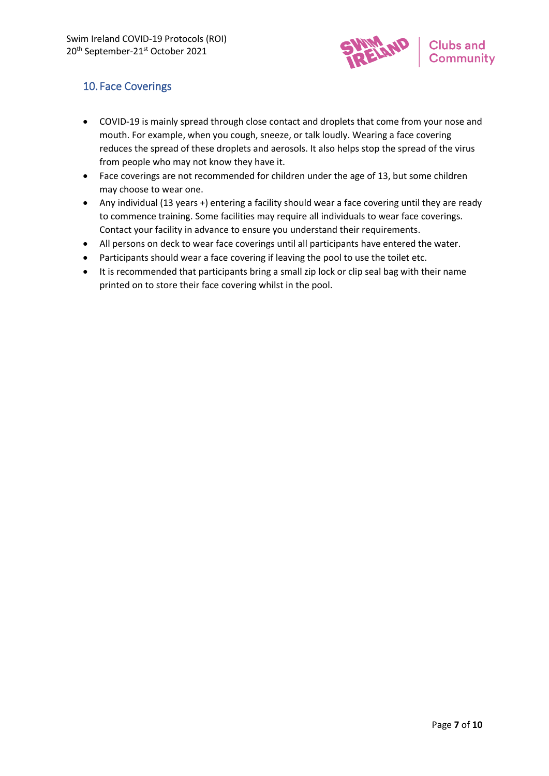

# <span id="page-6-0"></span>10. Face Coverings

- COVID-19 is mainly spread through close contact and droplets that come from your nose and mouth. For example, when you cough, sneeze, or talk loudly. Wearing a face covering reduces the spread of these droplets and aerosols. It also helps stop the spread of the virus from people who may not know they have it.
- Face coverings are not recommended for children under the age of 13, but some children may choose to wear one.
- Any individual (13 years +) entering a facility should wear a face covering until they are ready to commence training. Some facilities may require all individuals to wear face coverings. Contact your facility in advance to ensure you understand their requirements.
- All persons on deck to wear face coverings until all participants have entered the water.
- Participants should wear a face covering if leaving the pool to use the toilet etc.
- It is recommended that participants bring a small zip lock or clip seal bag with their name printed on to store their face covering whilst in the pool.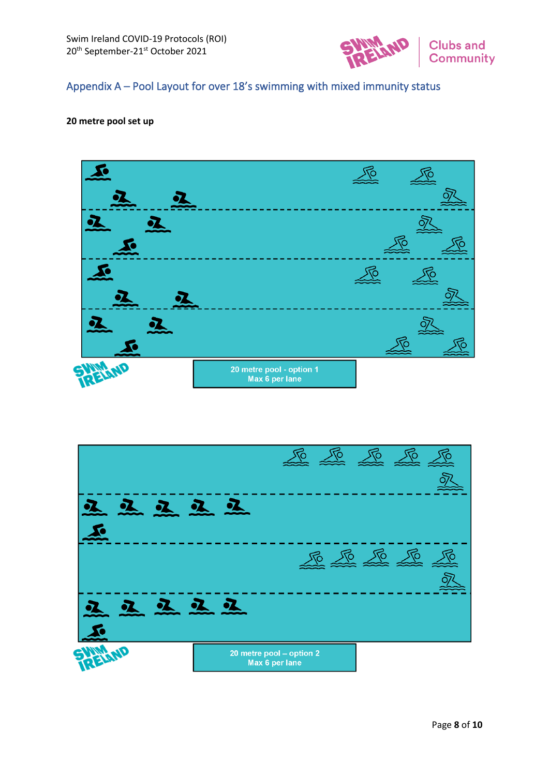

# <span id="page-7-0"></span>Appendix A – Pool Layout for over 18's swimming with mixed immunity status

#### **20 metre pool set up**



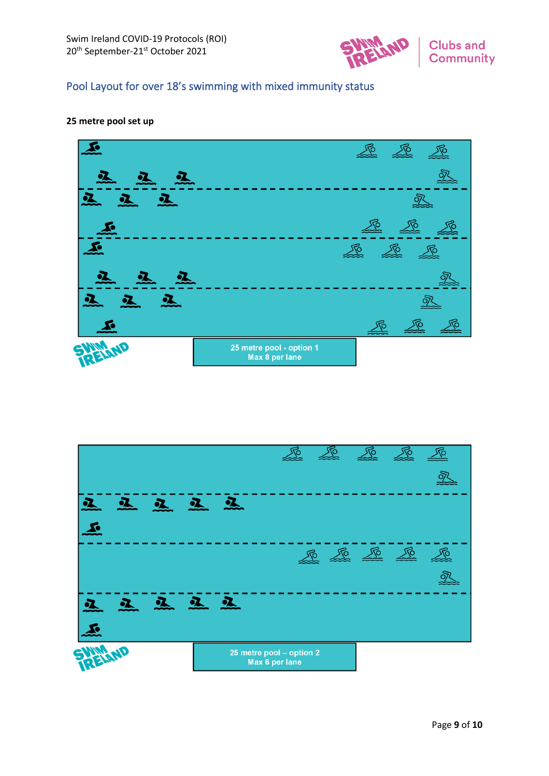

# Pool Layout for over 18's swimming with mixed immunity status

### **25 metre pool set up**